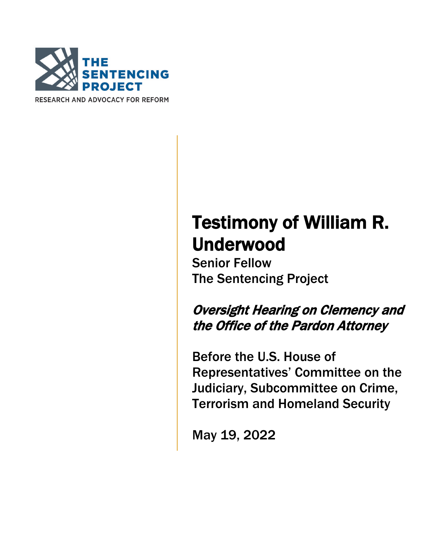

RESEARCH AND ADVOCACY FOR REFORM

## Testimony of William R. **Underwood**<br>Senior Fellow

The Sentencing Project

Oversight Hearing on Clemency and the Office of the Pardon Attorney

Before the U.S. House of Representatives' Committee on the Judiciary, Subcommittee on Crime, Terrorism and Homeland Security

May 19, 2022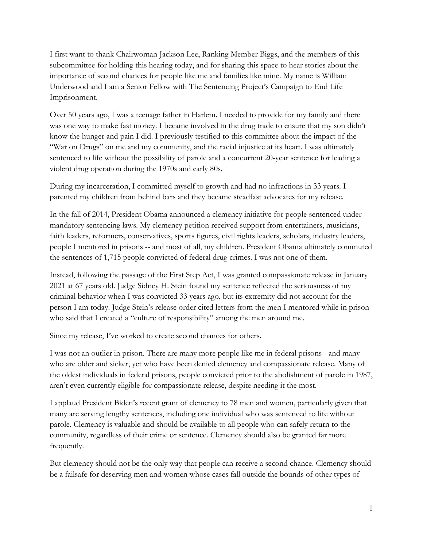I first want to thank Chairwoman Jackson Lee, Ranking Member Biggs, and the members of this subcommittee for holding this hearing today, and for sharing this space to hear stories about the importance of second chances for people like me and families like mine. My name is William Underwood and I am a Senior Fellow with The Sentencing Project's Campaign to End Life Imprisonment.

Over 50 years ago, I was a teenage father in Harlem. I needed to provide for my family and there was one way to make fast money. I became involved in the drug trade to ensure that my son didn't know the hunger and pain I did. I previously testified to this committee about the impact of the "War on Drugs" on me and my community, and the racial injustice at its heart. I was ultimately sentenced to life without the possibility of parole and a concurrent 20-year sentence for leading a violent drug operation during the 1970s and early 80s.

During my incarceration, I committed myself to growth and had no infractions in 33 years. I parented my children from behind bars and they became steadfast advocates for my release.

In the fall of 2014, President Obama announced a clemency initiative for people sentenced under mandatory sentencing laws. My clemency petition received support from entertainers, musicians, faith leaders, reformers, conservatives, sports figures, civil rights leaders, scholars, industry leaders, people I mentored in prisons -- and most of all, my children. President Obama ultimately commuted the sentences of 1,715 people convicted of federal drug crimes. I was not one of them.

Instead, following the passage of the First Step Act, I was granted compassionate release in January 2021 at 67 years old. Judge Sidney H. Stein found my sentence reflected the seriousness of my criminal behavior when I was convicted 33 years ago, but its extremity did not account for the person I am today. Judge Stein's release order cited letters from the men I mentored while in prison who said that I created a "culture of responsibility" among the men around me.

Since my release, I've worked to create second chances for others.

I was not an outlier in prison. There are many more people like me in federal prisons - and many who are older and sicker, yet who have been denied clemency and compassionate release. Many of the oldest individuals in federal prisons, people convicted prior to the abolishment of parole in 1987, aren't even currently eligible for compassionate release, despite needing it the most.

I applaud President Biden's recent grant of clemency to 78 men and women, particularly given that many are serving lengthy sentences, including one individual who was sentenced to life without parole. Clemency is valuable and should be available to all people who can safely return to the community, regardless of their crime or sentence. Clemency should also be granted far more frequently.

But clemency should not be the only way that people can receive a second chance. Clemency should be a failsafe for deserving men and women whose cases fall outside the bounds of other types of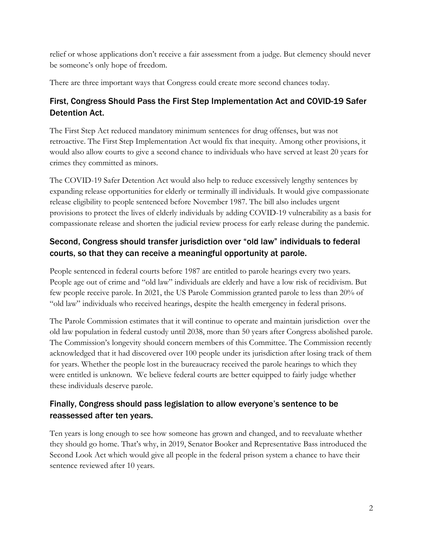relief or whose applications don't receive a fair assessment from a judge. But clemency should never be someone's only hope of freedom.

There are three important ways that Congress could create more second chances today.

## First, Congress Should Pass the First Step Implementation Act and COVID-19 Safer Detention Act.

The First Step Act reduced mandatory minimum sentences for drug offenses, but was not retroactive. The First Step Implementation Act would fix that inequity. Among other provisions, it would also allow courts to give a second chance to individuals who have served at least 20 years for crimes they committed as minors.

The COVID-19 Safer Detention Act would also help to reduce excessively lengthy sentences by expanding release opportunities for elderly or terminally ill individuals. It would give compassionate release eligibility to people sentenced before November 1987. The bill also includes urgent provisions to protect the lives of elderly individuals by adding COVID-19 vulnerability as a basis for compassionate release and shorten the judicial review process for early release during the pandemic.

## Second, Congress should transfer jurisdiction over "old law" individuals to federal courts, so that they can receive a meaningful opportunity at parole.

People sentenced in federal courts before 1987 are entitled to parole hearings every two years. People age out of crime and "old law" individuals are elderly and have a low risk of recidivism. But few people receive parole. In 2021, the US Parole Commission granted parole to less than 20% of "old law" individuals who received hearings, despite the health emergency in federal prisons.

The Parole Commission estimates that it will continue to operate and maintain jurisdiction over the old law population in federal custody until 2038, more than 50 years after Congress abolished parole. The Commission's longevity should concern members of this Committee. The Commission recently acknowledged that it had discovered over 100 people under its jurisdiction after losing track of them for years. Whether the people lost in the bureaucracy received the parole hearings to which they were entitled is unknown. We believe federal courts are better equipped to fairly judge whether these individuals deserve parole.

## Finally, Congress should pass legislation to allow everyone's sentence to be reassessed after ten years.

Ten years is long enough to see how someone has grown and changed, and to reevaluate whether they should go home. That's why, in 2019, Senator Booker and Representative Bass introduced the Second Look Act which would give all people in the federal prison system a chance to have their sentence reviewed after 10 years.